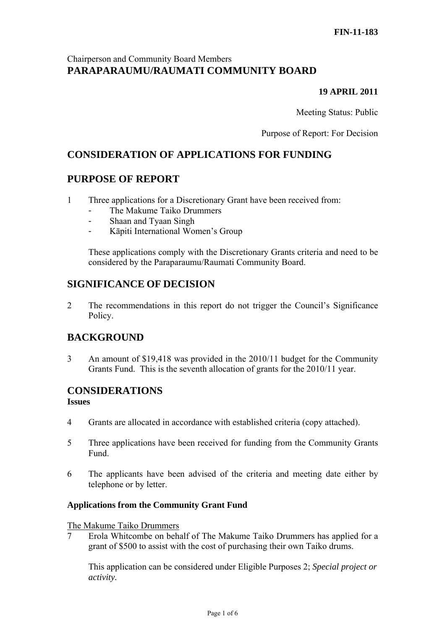## Chairperson and Community Board Members **PARAPARAUMU/RAUMATI COMMUNITY BOARD**

## **19 APRIL 2011**

Meeting Status: Public

Purpose of Report: For Decision

# **CONSIDERATION OF APPLICATIONS FOR FUNDING**

## **PURPOSE OF REPORT**

- 1 Three applications for a Discretionary Grant have been received from:
	- The Makume Taiko Drummers
	- Shaan and Tyaan Singh
	- Kāpiti International Women's Group

These applications comply with the Discretionary Grants criteria and need to be considered by the Paraparaumu/Raumati Community Board.

## **SIGNIFICANCE OF DECISION**

2 The recommendations in this report do not trigger the Council's Significance Policy.

# **BACKGROUND**

3 An amount of \$19,418 was provided in the 2010/11 budget for the Community Grants Fund. This is the seventh allocation of grants for the 2010/11 year.

# **CONSIDERATIONS**

#### **Issues**

- 4 Grants are allocated in accordance with established criteria (copy attached).
- 5 Three applications have been received for funding from the Community Grants Fund.
- 6 The applicants have been advised of the criteria and meeting date either by telephone or by letter.

## **Applications from the Community Grant Fund**

#### The Makume Taiko Drummers

7 Erola Whitcombe on behalf of The Makume Taiko Drummers has applied for a grant of \$500 to assist with the cost of purchasing their own Taiko drums.

This application can be considered under Eligible Purposes 2; *Special project or activity.*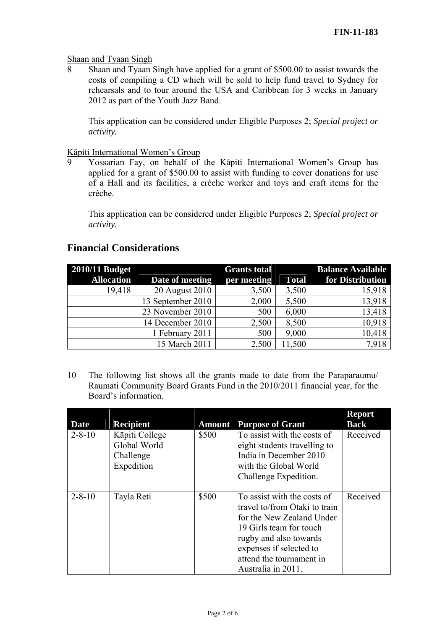#### Shaan and Tyaan Singh

8 Shaan and Tyaan Singh have applied for a grant of \$500.00 to assist towards the costs of compiling a CD which will be sold to help fund travel to Sydney for rehearsals and to tour around the USA and Caribbean for 3 weeks in January 2012 as part of the Youth Jazz Band.

This application can be considered under Eligible Purposes 2; *Special project or activity.* 

#### Kāpiti International Women's Group

9 Yossarian Fay, on behalf of the Kāpiti International Women's Group has applied for a grant of \$500.00 to assist with funding to cover donations for use of a Hall and its facilities, a crèche worker and toys and craft items for the crèche.

This application can be considered under Eligible Purposes 2; *Special project or activity.* 

## **Financial Considerations**

| <b>2010/11 Budget</b> |                   | <b>Grants total</b> |              | <b>Balance Available</b> |
|-----------------------|-------------------|---------------------|--------------|--------------------------|
| <b>Allocation</b>     | Date of meeting   | per meeting         | <b>Total</b> | for Distribution         |
| 19,418                | 20 August 2010    | 3,500               | 3,500        | 15,918                   |
|                       | 13 September 2010 | 2,000               | 5,500        | 13,918                   |
|                       | 23 November 2010  | 500                 | 6,000        | 13,418                   |
|                       | 14 December 2010  | 2,500               | 8,500        | 10,918                   |
|                       | 1 February 2011   | 500                 | 9,000        | 10,418                   |
|                       | 15 March 2011     | 2,500               | 11,500       | 7.918                    |

10 The following list shows all the grants made to date from the Paraparaumu/ Raumati Community Board Grants Fund in the 2010/2011 financial year, for the Board's information.

| Date         | <b>Recipient</b>               | <b>Amount</b> | <b>Purpose of Grant</b>                                                                                                                                                                                                     | <b>Report</b><br><b>Back</b> |
|--------------|--------------------------------|---------------|-----------------------------------------------------------------------------------------------------------------------------------------------------------------------------------------------------------------------------|------------------------------|
| $2 - 8 - 10$ | Kāpiti College<br>Global World | \$500         | To assist with the costs of<br>eight students travelling to                                                                                                                                                                 | Received                     |
|              | Challenge<br>Expedition        |               | India in December 2010<br>with the Global World<br>Challenge Expedition.                                                                                                                                                    |                              |
| $2 - 8 - 10$ | Tayla Reti                     | \$500         | To assist with the costs of<br>travel to/from Otaki to train<br>for the New Zealand Under<br>19 Girls team for touch<br>rugby and also towards<br>expenses if selected to<br>attend the tournament in<br>Australia in 2011. | Received                     |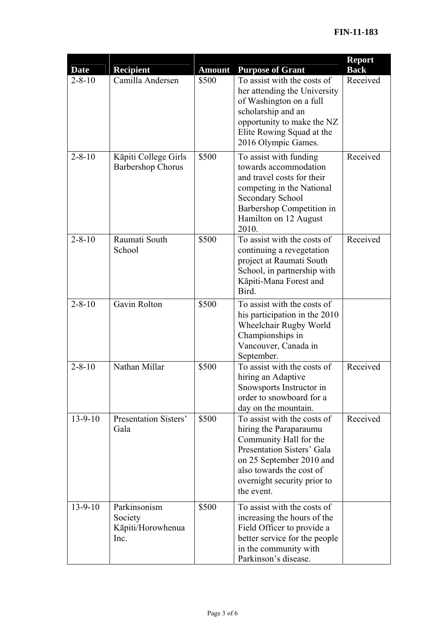|               |                                                      |               |                                                                                                                                                                                                                    | <b>Report</b> |
|---------------|------------------------------------------------------|---------------|--------------------------------------------------------------------------------------------------------------------------------------------------------------------------------------------------------------------|---------------|
| <b>Date</b>   | <b>Recipient</b>                                     | <b>Amount</b> | <b>Purpose of Grant</b>                                                                                                                                                                                            | <b>Back</b>   |
| $2 - 8 - 10$  | Camilla Andersen                                     | \$500         | To assist with the costs of<br>her attending the University<br>of Washington on a full<br>scholarship and an<br>opportunity to make the NZ<br>Elite Rowing Squad at the<br>2016 Olympic Games.                     | Received      |
| $2 - 8 - 10$  | Kāpiti College Girls<br><b>Barbershop Chorus</b>     | \$500         | To assist with funding<br>towards accommodation<br>and travel costs for their<br>competing in the National<br>Secondary School<br>Barbershop Competition in<br>Hamilton on 12 August<br>2010.                      | Received      |
| $2 - 8 - 10$  | Raumati South<br>School                              | \$500         | To assist with the costs of<br>continuing a revegetation<br>project at Raumati South<br>School, in partnership with<br>Kāpiti-Mana Forest and<br>Bird.                                                             | Received      |
| $2 - 8 - 10$  | Gavin Rolton                                         | \$500         | To assist with the costs of<br>his participation in the 2010<br>Wheelchair Rugby World<br>Championships in<br>Vancouver, Canada in<br>September.                                                                   |               |
| $2 - 8 - 10$  | Nathan Millar                                        | \$500         | To assist with the costs of<br>hiring an Adaptive<br>Snowsports Instructor in<br>order to snowboard for a<br>day on the mountain.                                                                                  | Received      |
| $13 - 9 - 10$ | <b>Presentation Sisters'</b><br>Gala                 | \$500         | To assist with the costs of<br>hiring the Paraparaumu<br>Community Hall for the<br>Presentation Sisters' Gala<br>on 25 September 2010 and<br>also towards the cost of<br>overnight security prior to<br>the event. | Received      |
| $13 - 9 - 10$ | Parkinsonism<br>Society<br>Kāpiti/Horowhenua<br>Inc. | \$500         | To assist with the costs of<br>increasing the hours of the<br>Field Officer to provide a<br>better service for the people<br>in the community with<br>Parkinson's disease.                                         |               |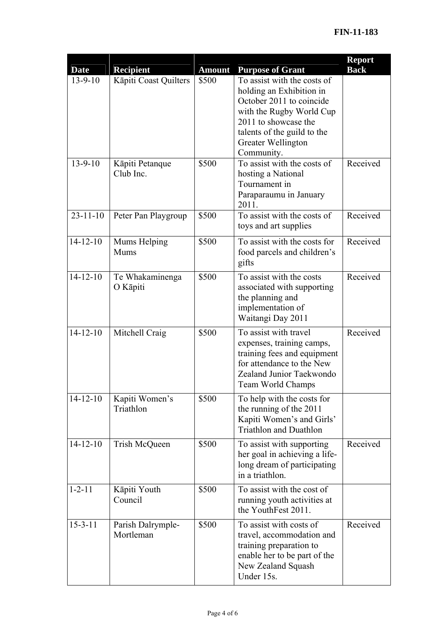| <b>Date</b>    | <b>Recipient</b>               | <b>Amount</b> | <b>Purpose of Grant</b>                                                                                                                                                                                    | <b>Report</b><br><b>Back</b> |
|----------------|--------------------------------|---------------|------------------------------------------------------------------------------------------------------------------------------------------------------------------------------------------------------------|------------------------------|
| $13 - 9 - 10$  | Kāpiti Coast Quilters          | \$500         | To assist with the costs of<br>holding an Exhibition in<br>October 2011 to coincide<br>with the Rugby World Cup<br>2011 to showcase the<br>talents of the guild to the<br>Greater Wellington<br>Community. |                              |
| $13 - 9 - 10$  | Kāpiti Petanque<br>Club Inc.   | \$500         | To assist with the costs of<br>hosting a National<br>Tournament in<br>Paraparaumu in January<br>2011.                                                                                                      | Received                     |
| $23 - 11 - 10$ | Peter Pan Playgroup            | \$500         | To assist with the costs of<br>toys and art supplies                                                                                                                                                       | Received                     |
| $14 - 12 - 10$ | Mums Helping<br><b>Mums</b>    | \$500         | To assist with the costs for<br>food parcels and children's<br>gifts                                                                                                                                       | Received                     |
| $14 - 12 - 10$ | Te Whakaminenga<br>O Kāpiti    | \$500         | To assist with the costs<br>associated with supporting<br>the planning and<br>implementation of<br>Waitangi Day 2011                                                                                       | Received                     |
| $14 - 12 - 10$ | Mitchell Craig                 | \$500         | To assist with travel<br>expenses, training camps,<br>training fees and equipment<br>for attendance to the New<br>Zealand Junior Taekwondo<br>Team World Champs                                            | Received                     |
| $14 - 12 - 10$ | Kapiti Women's<br>Triathlon    | \$500         | To help with the costs for<br>the running of the 2011<br>Kapiti Women's and Girls'<br><b>Triathlon and Duathlon</b>                                                                                        |                              |
| $14 - 12 - 10$ | Trish McQueen                  | \$500         | To assist with supporting<br>her goal in achieving a life-<br>long dream of participating<br>in a triathlon.                                                                                               | Received                     |
| $1 - 2 - 11$   | Kāpiti Youth<br>Council        | \$500         | To assist with the cost of<br>running youth activities at<br>the YouthFest 2011.                                                                                                                           |                              |
| $15 - 3 - 11$  | Parish Dalrymple-<br>Mortleman | \$500         | To assist with costs of<br>travel, accommodation and<br>training preparation to<br>enable her to be part of the<br>New Zealand Squash<br>Under 15s.                                                        | Received                     |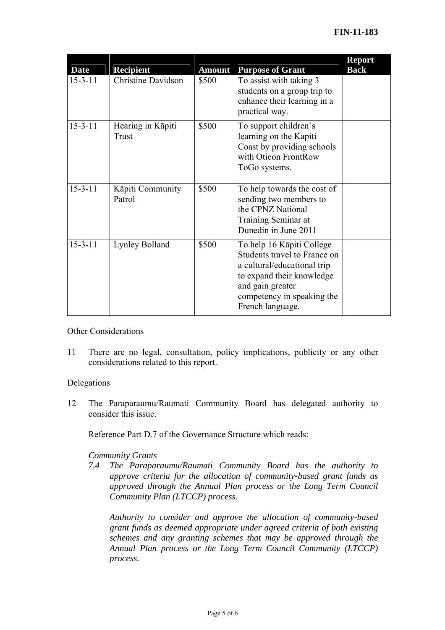| <b>Date</b>   | <b>Recipient</b>           | <b>Amount</b> | <b>Purpose of Grant</b>                                                                                                                                                                     | <b>Report</b><br><b>Back</b> |
|---------------|----------------------------|---------------|---------------------------------------------------------------------------------------------------------------------------------------------------------------------------------------------|------------------------------|
| $15 - 3 - 11$ | <b>Christine Davidson</b>  | \$500         | To assist with taking 3<br>students on a group trip to<br>enhance their learning in a<br>practical way.                                                                                     |                              |
| $15 - 3 - 11$ | Hearing in Kāpiti<br>Trust | \$500         | To support children's<br>learning on the Kapiti<br>Coast by providing schools<br>with Oticon FrontRow<br>ToGo systems.                                                                      |                              |
| $15 - 3 - 11$ | Kāpiti Community<br>Patrol | \$500         | To help towards the cost of<br>sending two members to<br>the CPNZ National<br>Training Seminar at<br>Dunedin in June 2011                                                                   |                              |
| $15 - 3 - 11$ | Lynley Bolland             | \$500         | To help 16 Kāpiti College<br>Students travel to France on<br>a cultural/educational trip<br>to expand their knowledge<br>and gain greater<br>competency in speaking the<br>French language. |                              |

Other Considerations

11 There are no legal, consultation, policy implications, publicity or any other considerations related to this report.

#### Delegations

12 The Paraparaumu/Raumati Community Board has delegated authority to consider this issue.

Reference Part D.7 of the Governance Structure which reads:

#### *Community Grants*

*7.4 The Paraparaumu/Raumati Community Board has the authority to approve criteria for the allocation of community-based grant funds as approved through the Annual Plan process or the Long Term Council Community Plan (LTCCP) process.* 

*Authority to consider and approve the allocation of community-based grant funds as deemed appropriate under agreed criteria of both existing schemes and any granting schemes that may be approved through the Annual Plan process or the Long Term Council Community (LTCCP) process.*